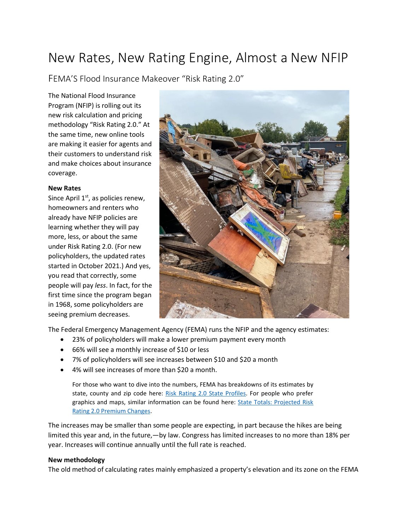# New Rates, New Rating Engine, Almost a New NFIP

FEMA'S Flood Insurance Makeover "Risk Rating 2.0"

The National Flood Insurance Program (NFIP) is rolling out its new risk calculation and pricing methodology "Risk Rating 2.0." At the same time, new online tools are making it easier for agents and their customers to understand risk and make choices about insurance coverage.

#### **New Rates**

Since April 1<sup>st</sup>, as policies renew, homeowners and renters who already have NFIP policies are learning whether they will pay more, less, or about the same under Risk Rating 2.0. (For new policyholders, the updated rates started in October 2021.) And yes, you read that correctly, some people will pay *less*. In fact, for the first time since the program began in 1968, some policyholders are seeing premium decreases.



The Federal Emergency Management Agency (FEMA) runs the NFIP and the agency estimates:

- 23% of policyholders will make a lower premium payment every month
- 66% will see a monthly increase of \$10 or less
- 7% of policyholders will see increases between \$10 and \$20 a month
- 4% will see increases of more than \$20 a month.

For those who want to dive into the numbers, FEMA has breakdowns of its estimates by state, county and zip code here: [Risk Rating 2.0 State Profiles.](https://www.fema.gov/flood-insurance/risk-rating/profiles?web=1&wdLOR=cBDFC66DA-AB85-4C6A-90FB-9A2ABB206C39) For people who prefer graphics and maps, similar information can be found here: [State Totals: Projected Risk](https://www.arcgis.com/apps/dashboards/44d08581aaf14f39bc0da5d02f378007)  [Rating 2.0 Premium Changes.](https://www.arcgis.com/apps/dashboards/44d08581aaf14f39bc0da5d02f378007)

The increases may be smaller than some people are expecting, in part because the hikes are being limited this year and, in the future,—by law. Congress has limited increases to no more than 18% per year. Increases will continue annually until the full rate is reached.

#### **New methodology**

The old method of calculating rates mainly emphasized a property's elevation and its zone on the FEMA